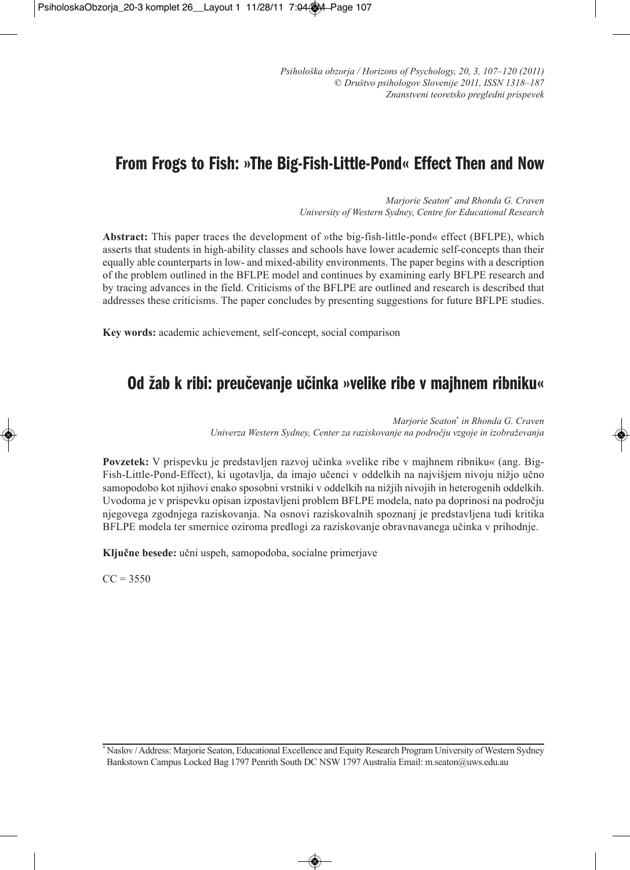# **From Frogs to Fish: »The Big-Fish-Little-Pond« Effect Then and Now**

*Marjorie Seaton*\* *and Rhonda G. Craven university of western Sydney, Centre for educational Research*

**Abstract:** This paper traces the development of »the big-fish-little-pond« effect (BFLPE), which asserts that students in high-ability classes and schools have lower academic self-concepts than their equally able counterparts in low- and mixed-ability environments. The paper begins with a description of the problem outlined in the BFLPE model and continues by examining early BFLPE research and by tracing advances in the field. Criticisms of the BFLPE are outlined and research is described that addresses these criticisms. The paper concludes by presenting suggestions for future BFLPE studies.

**Key words:** academic achievement, self-concept, social comparison

# **Od žab k ribi: preučevanje učinka »velike ribe v majhnem ribniku«**

*Marjorie Seaton*\* *in Rhonda G. Craven univerza western Sydney, Center za raziskovanje na področju vzgoje in izobraževanja*

**Povzetek:** V prispevku je predstavljen razvoj učinka »velike ribe v majhnem ribniku« (ang. Big-Fish-Little-Pond-Effect), ki ugotavlja, da imajo učenci v oddelkih na najvišjem nivoju nižjo učno samopodobo kot njihovi enako sposobni vrstniki v oddelkih na nižjih nivojih in heterogenih oddelkih. Uvodoma je v prispevku opisan izpostavljeni problem BFLPE modela, nato pa doprinosi na področju njegovega zgodnjega raziskovanja. Na osnovi raziskovalnih spoznanj je predstavljena tudi kritika BFLPE modela ter smernice oziroma predlogi za raziskovanje obravnavanega učinka v prihodnje.

**Ključne besede:** učni uspeh, samopodoba, socialne primerjave

 $CC = 3550$ 

<sup>\*</sup> Naslov /Address: Marjorie Seaton, Educational Excellence and Equity Research Program University ofWestern Sydney Bankstown Campus Locked Bag 1797 Penrith South DC NSW 1797 Australia Email: m.seaton@uws.edu.au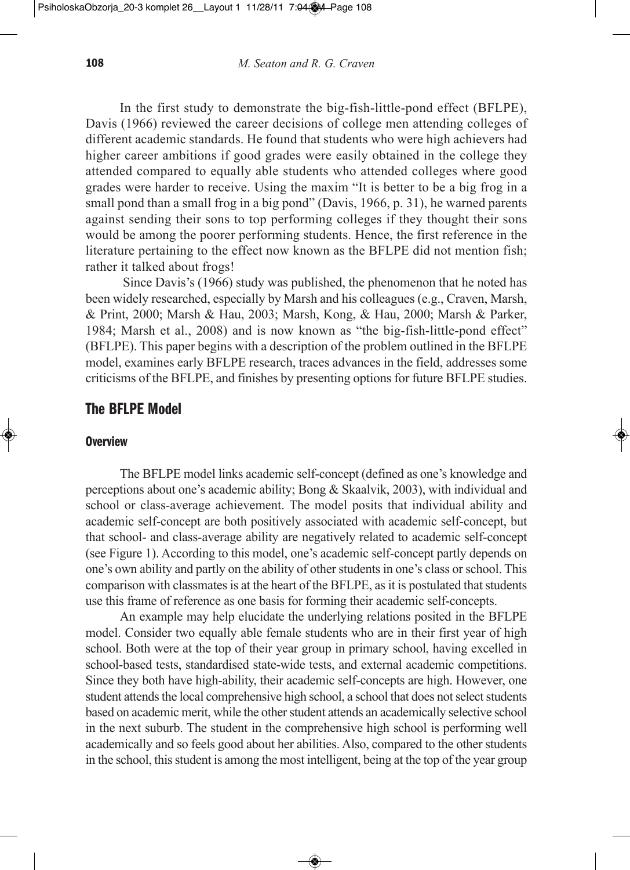In the first study to demonstrate the big-fish-little-pond effect (BFLPE), Davis (1966) reviewed the career decisions of college men attending colleges of different academic standards. He found that students who were high achievers had higher career ambitions if good grades were easily obtained in the college they attended compared to equally able students who attended colleges where good grades were harder to receive. Using the maxim "It is better to be a big frog in a small pond than a small frog in a big pond" (Davis, 1966, p. 31), he warned parents against sending their sons to top performing colleges if they thought their sons would be among the poorer performing students. Hence, the first reference in the literature pertaining to the effect now known as the BFLPE did not mention fish; rather it talked about frogs!

Since Davis's (1966) study was published, the phenomenon that he noted has been widely researched, especially by Marsh and his colleagues (e.g., Craven, Marsh, & Print, 2000; Marsh & Hau, 2003; Marsh, Kong, & Hau, 2000; Marsh & Parker, 1984; Marsh et al., 2008) and is now known as "the big-fish-little-pond effect" (BFLPE). This paper begins with a description of the problem outlined in the BFLPE model, examines early BFLPE research, traces advances in the field, addresses some criticisms of the BFLPE, and finishes by presenting options for future BFLPE studies.

# **The BFLPE Model**

# **Overview**

The BFLPE model links academic self-concept (defined as one's knowledge and perceptions about one's academic ability; Bong & Skaalvik, 2003), with individual and school or class-average achievement. The model posits that individual ability and academic self-concept are both positively associated with academic self-concept, but that school- and class-average ability are negatively related to academic self-concept (see Figure 1). According to this model, one's academic self-concept partly depends on one's own ability and partly on the ability of other students in one's class or school. This comparison with classmates is at the heart of the BFLPE, as it is postulated that students use this frame of reference as one basis for forming their academic self-concepts.

An example may help elucidate the underlying relations posited in the BFLPE model. Consider two equally able female students who are in their first year of high school. Both were at the top of their year group in primary school, having excelled in school-based tests, standardised state-wide tests, and external academic competitions. Since they both have high-ability, their academic self-concepts are high. However, one student attends the local comprehensive high school, a school that does not select students based on academic merit, while the other student attends an academically selective school in the next suburb. The student in the comprehensive high school is performing well academically and so feels good about her abilities. Also, compared to the other students in the school, thisstudent is among the most intelligent, being at the top of the year group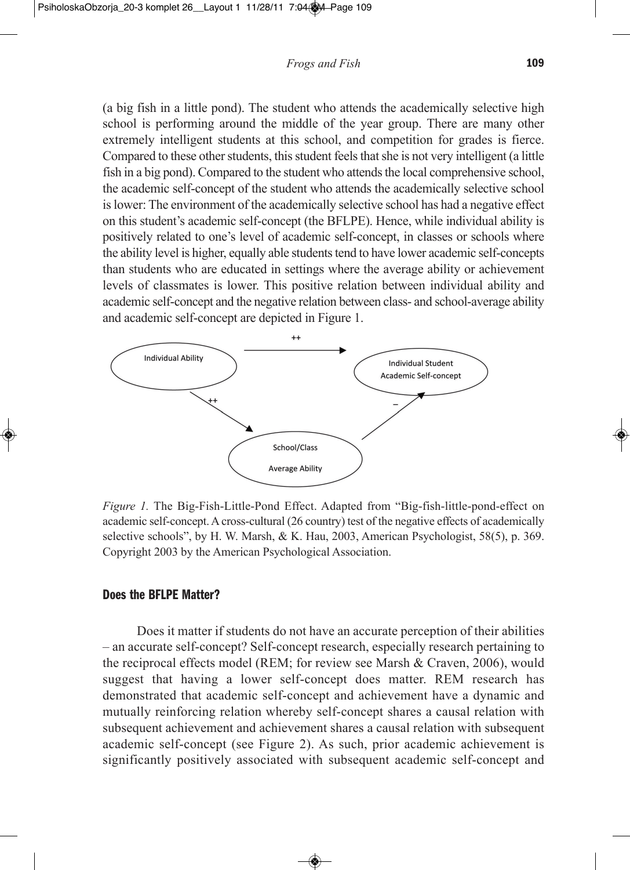(a big fish in a little pond). The student who attends the academically selective high school is performing around the middle of the year group. There are many other extremely intelligent students at this school, and competition for grades is fierce. Compared to these other students, this student feels that she is not very intelligent (a little fish in a big pond). Compared to the student who attends the local comprehensive school, the academic self-concept of the student who attends the academically selective school islower: The environment of the academically selective school has had a negative effect on this student's academic self-concept (the BFLPE). Hence, while individual ability is positively related to one's level of academic self-concept, in classes or schools where the ability level is higher, equally able students tend to have lower academic self-concepts than students who are educated in settings where the average ability or achievement levels of classmates is lower. This positive relation between individual ability and academic self-concept and the negative relation between class- and school-average ability and academic self-concept are depicted in Figure 1.



*Figure 1.* The Big-Fish-Little-Pond Effect. Adapted from "Big-fish-little-pond-effect on academic self-concept.Across-cultural (26 country) test of the negative effects of academically selective schools", by H. W. Marsh, & K. Hau, 2003, American Psychologist, 58(5), p. 369. Copyright 2003 by the American Psychological Association.

# **Does the BFLPE Matter?**

Does it matter if students do not have an accurate perception of their abilities – an accurate self-concept? Self-concept research, especially research pertaining to the reciprocal effects model (REM; for review see Marsh & Craven, 2006), would suggest that having a lower self-concept does matter. REM research has demonstrated that academic self-concept and achievement have a dynamic and mutually reinforcing relation whereby self-concept shares a causal relation with subsequent achievement and achievement shares a causal relation with subsequent academic self-concept (see Figure 2). As such, prior academic achievement is significantly positively associated with subsequent academic self-concept and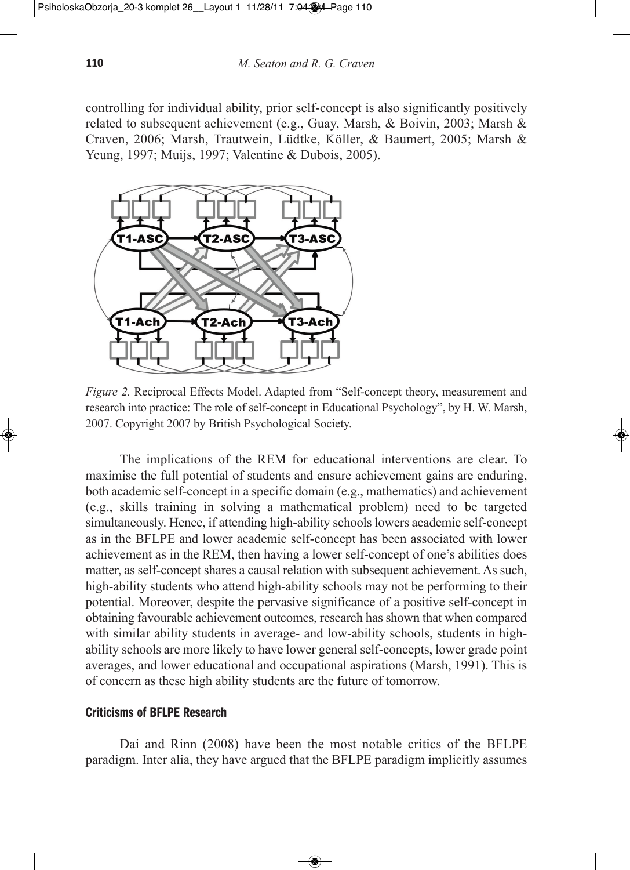controlling for individual ability, prior self-concept is also significantly positively related to subsequent achievement (e.g., Guay, Marsh, & Boivin, 2003; Marsh & Craven, 2006; Marsh, Trautwein, Lüdtke, Köller, & Baumert, 2005; Marsh & Yeung, 1997; Muijs, 1997; Valentine & Dubois, 2005).



*Figure 2.* Reciprocal Effects Model. Adapted from "Self-concept theory, measurement and research into practice: The role of self-concept in Educational Psychology", by H. W. Marsh, 2007. Copyright 2007 by British Psychological Society.

The implications of the REM for educational interventions are clear. To maximise the full potential of students and ensure achievement gains are enduring, both academic self-concept in a specific domain (e.g., mathematics) and achievement (e.g., skills training in solving a mathematical problem) need to be targeted simultaneously. Hence, if attending high-ability schools lowers academic self-concept as in the BFLPE and lower academic self-concept has been associated with lower achievement as in the REM, then having a lower self-concept of one's abilities does matter, as self-concept shares a causal relation with subsequent achievement.As such, high-ability students who attend high-ability schools may not be performing to their potential. Moreover, despite the pervasive significance of a positive self-concept in obtaining favourable achievement outcomes, research has shown that when compared with similar ability students in average- and low-ability schools, students in highability schools are more likely to have lower general self-concepts, lower grade point averages, and lower educational and occupational aspirations (Marsh, 1991). This is of concern as these high ability students are the future of tomorrow.

# **Criticisms of BFLPE Research**

Dai and Rinn (2008) have been the most notable critics of the BFLPE paradigm. Inter alia, they have argued that the BFLPE paradigm implicitly assumes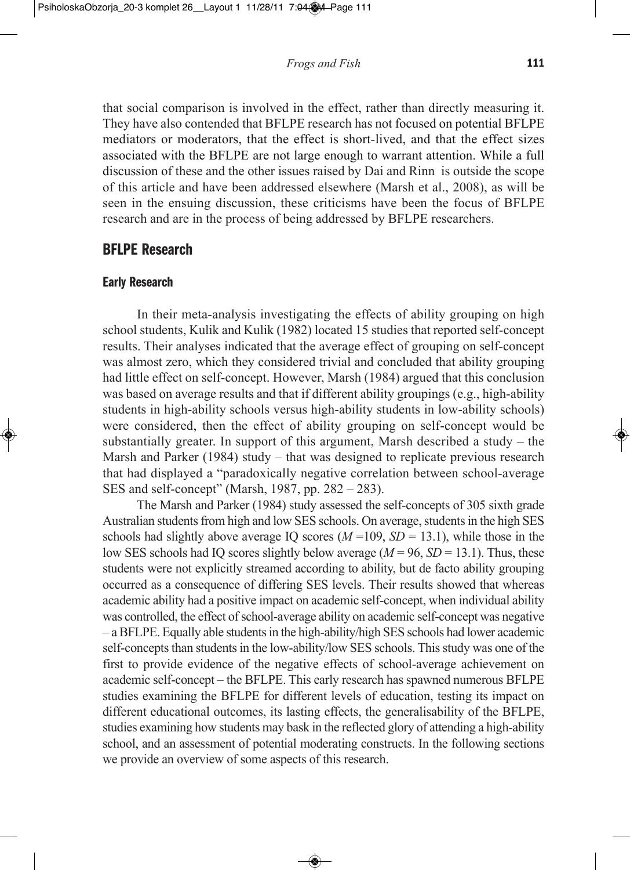that social comparison is involved in the effect, rather than directly measuring it. They have also contended that BFLPE research has not focused on potential BFLPE mediators or moderators, that the effect is short-lived, and that the effect sizes associated with the BFLPE are not large enough to warrant attention. While a full discussion of these and the other issues raised by Dai and Rinn is outside the scope of this article and have been addressed elsewhere (Marsh et al., 2008), as will be seen in the ensuing discussion, these criticisms have been the focus of BFLPE research and are in the process of being addressed by BFLPE researchers.

# **BFLPE Research**

# **Early Research**

In their meta-analysis investigating the effects of ability grouping on high school students, Kulik and Kulik (1982) located 15 studies that reported self-concept results. Their analyses indicated that the average effect of grouping on self-concept was almost zero, which they considered trivial and concluded that ability grouping had little effect on self-concept. However, Marsh (1984) argued that this conclusion was based on average results and that if different ability groupings (e.g., high-ability students in high-ability schools versus high-ability students in low-ability schools) were considered, then the effect of ability grouping on self-concept would be substantially greater. In support of this argument, Marsh described a study – the Marsh and Parker (1984) study – that was designed to replicate previous research that had displayed a "paradoxically negative correlation between school-average SES and self-concept" (Marsh, 1987, pp. 282 – 283).

The Marsh and Parker (1984) study assessed the self-concepts of 305 sixth grade Australian students from high and low SES schools. On average, students in the high SES schools had slightly above average IQ scores  $(M=109, SD=13.1)$ , while those in the low SES schools had IQ scores slightly below average  $(M = 96, SD = 13.1)$ . Thus, these students were not explicitly streamed according to ability, but de facto ability grouping occurred as a consequence of differing SES levels. Their results showed that whereas academic ability had a positive impact on academic self-concept, when individual ability was controlled, the effect of school-average ability on academic self-concept was negative  $-$ a BFLPE. Equally able students in the high-ability/high SES schools had lower academic self-concepts than students in the low-ability/low SES schools. This study was one of the first to provide evidence of the negative effects of school-average achievement on academic self-concept – the BFLPE. This early research has spawned numerous BFLPE studies examining the BFLPE for different levels of education, testing its impact on different educational outcomes, its lasting effects, the generalisability of the BFLPE, studies examining how students may bask in the reflected glory of attending a high-ability school, and an assessment of potential moderating constructs. In the following sections we provide an overview of some aspects of this research.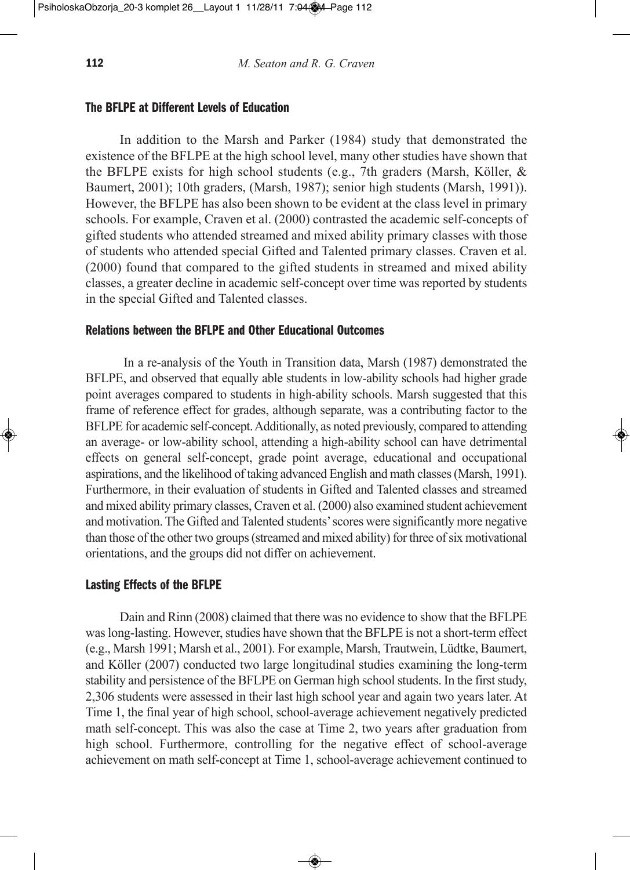# **The BFLPE at Different Levels of Education**

In addition to the Marsh and Parker (1984) study that demonstrated the existence of the BFLPE at the high school level, many other studies have shown that the BFLPE exists for high school students (e.g., 7th graders (Marsh, Kӧller, & Baumert, 2001); 10th graders, (Marsh, 1987); senior high students (Marsh, 1991)). However, the BFLPE has also been shown to be evident at the class level in primary schools. For example, Craven et al. (2000) contrasted the academic self-concepts of gifted students who attended streamed and mixed ability primary classes with those of students who attended special Gifted and Talented primary classes. Craven et al. (2000) found that compared to the gifted students in streamed and mixed ability classes, a greater decline in academic self-concept over time was reported by students in the special Gifted and Talented classes.

## **Relations between the BFLPE and Other Educational Outcomes**

In a re-analysis of the Youth in Transition data, Marsh (1987) demonstrated the BFLPE, and observed that equally able students in low-ability schools had higher grade point averages compared to students in high-ability schools. Marsh suggested that this frame of reference effect for grades, although separate, was a contributing factor to the BFLPE for academic self-concept.Additionally, as noted previously, compared to attending an average- or low-ability school, attending a high-ability school can have detrimental effects on general self-concept, grade point average, educational and occupational aspirations, and the likelihood of taking advanced English and math classes(Marsh, 1991). Furthermore, in their evaluation of students in Gifted and Talented classes and streamed and mixed ability primary classes, Craven et al. (2000) also examined student achievement and motivation. The Gifted and Talented students'scores were significantly more negative than those of the other two groups(streamed and mixed ability) for three ofsix motivational orientations, and the groups did not differ on achievement.

#### **Lasting Effects of the BFLPE**

Dain and Rinn (2008) claimed that there was no evidence to show that the BFLPE was long-lasting. However, studies have shown that the BFLPE is not a short-term effect (e.g., Marsh 1991; Marsh et al., 2001). For example, Marsh, Trautwein, Lüdtke, Baumert, and Köller (2007) conducted two large longitudinal studies examining the long-term stability and persistence of the BFLPE on German high school students. In the first study, 2,306 students were assessed in their last high school year and again two years later. At Time 1, the final year of high school, school-average achievement negatively predicted math self-concept. This was also the case at Time 2, two years after graduation from high school. Furthermore, controlling for the negative effect of school-average achievement on math self-concept at Time 1, school-average achievement continued to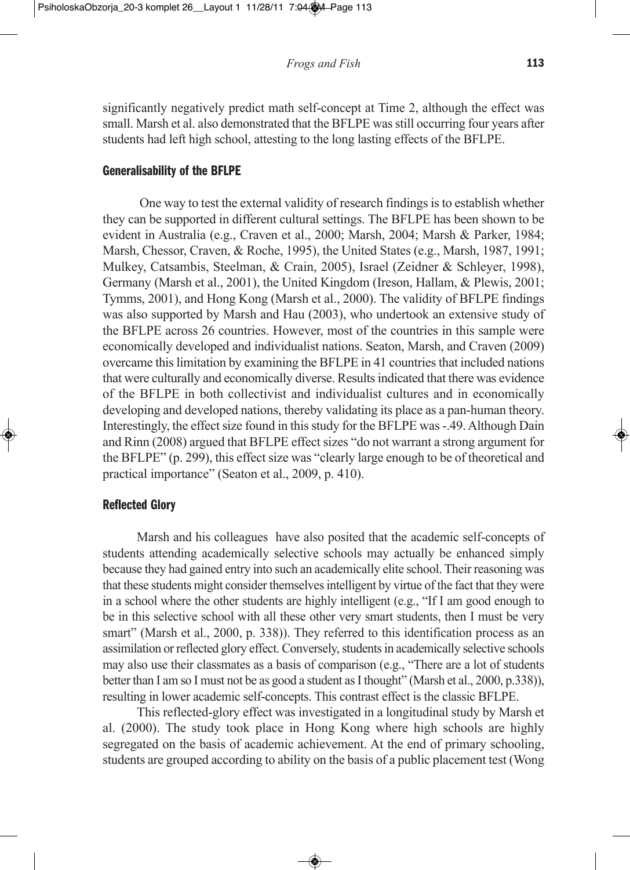significantly negatively predict math self-concept at Time 2, although the effect was small. Marsh et al. also demonstrated that the BFLPE wasstill occurring four years after students had left high school, attesting to the long lasting effects of the BFLPE.

## **Generalisability of the BFLPE**

One way to test the external validity of research findings is to establish whether they can be supported in different cultural settings. The BFLPE has been shown to be evident in Australia (e.g., Craven et al., 2000; Marsh, 2004; Marsh & Parker, 1984; Marsh, Chessor, Craven, & Roche, 1995), the United States (e.g., Marsh, 1987, 1991; Mulkey, Catsambis, Steelman, & Crain, 2005), Israel (Zeidner & Schleyer, 1998), Germany (Marsh et al., 2001), the United Kingdom (Ireson, Hallam, & Plewis, 2001; Tymms, 2001), and Hong Kong (Marsh et al., 2000). The validity of BFLPE findings was also supported by Marsh and Hau (2003), who undertook an extensive study of the BFLPE across 26 countries. However, most of the countries in this sample were economically developed and individualist nations. Seaton, Marsh, and Craven (2009) overcame thislimitation by examining the BFLPE in 41 countriesthat included nations that were culturally and economically diverse. Resultsindicated that there was evidence of the BFLPE in both collectivist and individualist cultures and in economically developing and developed nations, thereby validating its place as a pan-human theory. Interestingly, the effect size found in this study for the BFLPE was -.49. Although Dain and Rinn (2008) argued that BFLPE effect sizes "do not warrant a strong argument for the BFLPE" (p. 299), this effect size was "clearly large enough to be of theoretical and practical importance" (Seaton et al., 2009, p. 410).

# **Reflected Glory**

Marsh and his colleagues have also posited that the academic self-concepts of students attending academically selective schools may actually be enhanced simply because they had gained entry into such an academically elite school. Their reasoning was that these students might consider themselvesintelligent by virtue of the fact that they were in a school where the other students are highly intelligent (e.g., "If I am good enough to be in this selective school with all these other very smart students, then I must be very smart" (Marsh et al., 2000, p. 338)). They referred to this identification process as an assimilation or reflected glory effect. Conversely, students in academically selective schools may also use their classmates as a basis of comparison (e.g., "There are a lot of students better than I am so I must not be as good a student as I thought" (Marsh et al., 2000, p.338)), resulting in lower academic self-concepts. This contrast effect is the classic BFLPE.

This reflected-glory effect was investigated in a longitudinal study by Marsh et al. (2000). The study took place in Hong Kong where high schools are highly segregated on the basis of academic achievement. At the end of primary schooling, students are grouped according to ability on the basis of a public placement test (Wong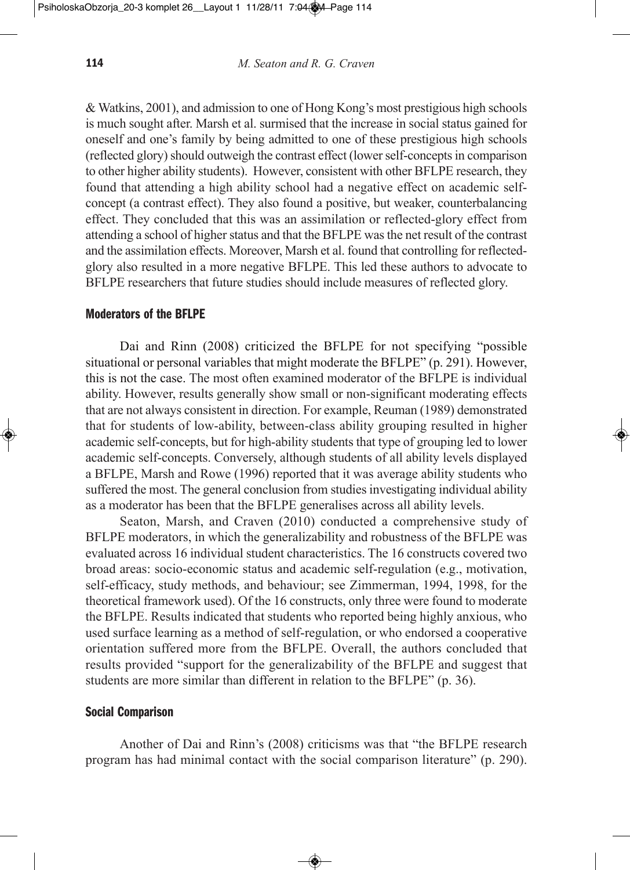& Watkins, 2001), and admission to one of Hong Kong's most prestigious high schools is much sought after. Marsh et al. surmised that the increase in social status gained for oneself and one's family by being admitted to one of these prestigious high schools (reflected glory) should outweigh the contrast effect (lower self-concepts in comparison to other higher ability students). However, consistent with other BFLPE research, they found that attending a high ability school had a negative effect on academic selfconcept (a contrast effect). They also found a positive, but weaker, counterbalancing effect. They concluded that this was an assimilation or reflected-glory effect from attending a school of higher status and that the BFLPE was the net result of the contrast and the assimilation effects. Moreover, Marsh et al. found that controlling for reflectedglory also resulted in a more negative BFLPE. This led these authors to advocate to BFLPE researchers that future studies should include measures of reflected glory.

#### **Moderators of the BFLPE**

Dai and Rinn (2008) criticized the BFLPE for not specifying "possible situational or personal variables that might moderate the BFLPE" (p. 291). However, this is not the case. The most often examined moderator of the BFLPE is individual ability. However, results generally show small or non-significant moderating effects that are not always consistent in direction. For example, Reuman (1989) demonstrated that for students of low-ability, between-class ability grouping resulted in higher academic self-concepts, but for high-ability students that type of grouping led to lower academic self-concepts. Conversely, although students of all ability levels displayed a BFLPE, Marsh and Rowe (1996) reported that it was average ability students who suffered the most. The general conclusion from studies investigating individual ability as a moderator has been that the BFLPE generalises across all ability levels.

Seaton, Marsh, and Craven (2010) conducted a comprehensive study of BFLPE moderators, in which the generalizability and robustness of the BFLPE was evaluated across 16 individual student characteristics. The 16 constructs covered two broad areas: socio-economic status and academic self-regulation (e.g., motivation, self-efficacy, study methods, and behaviour; see Zimmerman, 1994, 1998, for the theoretical framework used). Of the 16 constructs, only three were found to moderate the BFLPE. Results indicated that students who reported being highly anxious, who used surface learning as a method of self-regulation, or who endorsed a cooperative orientation suffered more from the BFLPE. Overall, the authors concluded that results provided "support for the generalizability of the BFLPE and suggest that students are more similar than different in relation to the BFLPE" (p. 36).

## **Social Comparison**

Another of Dai and Rinn's (2008) criticisms was that "the BFLPE research program has had minimal contact with the social comparison literature" (p. 290).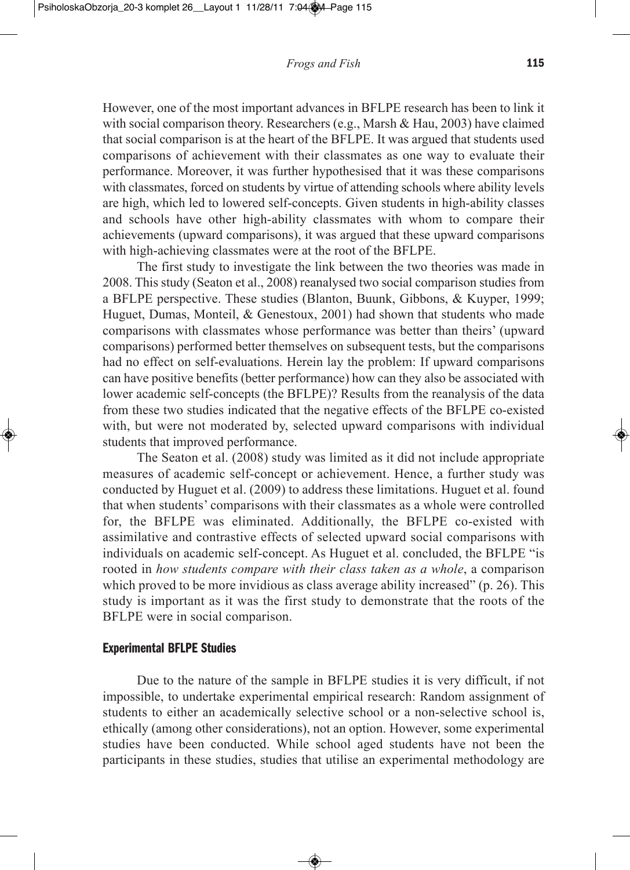However, one of the most important advances in BFLPE research has been to link it with social comparison theory. Researchers (e.g., Marsh & Hau, 2003) have claimed that social comparison is at the heart of the BFLPE. It was argued that students used comparisons of achievement with their classmates as one way to evaluate their performance. Moreover, it was further hypothesised that it was these comparisons with classmates, forced on students by virtue of attending schools where ability levels are high, which led to lowered self-concepts. Given students in high-ability classes and schools have other high-ability classmates with whom to compare their achievements (upward comparisons), it was argued that these upward comparisons with high-achieving classmates were at the root of the BFLPE.

The first study to investigate the link between the two theories was made in 2008. This study (Seaton et al., 2008) reanalysed two social comparison studies from a BFLPE perspective. These studies (Blanton, Buunk, Gibbons, & Kuyper, 1999; Huguet, Dumas, Monteil, & Genestoux, 2001) had shown that students who made comparisons with classmates whose performance was better than theirs' (upward comparisons) performed better themselves on subsequent tests, but the comparisons had no effect on self-evaluations. Herein lay the problem: If upward comparisons can have positive benefits (better performance) how can they also be associated with lower academic self-concepts (the BFLPE)? Results from the reanalysis of the data from these two studies indicated that the negative effects of the BFLPE co-existed with, but were not moderated by, selected upward comparisons with individual students that improved performance.

The Seaton et al. (2008) study was limited as it did not include appropriate measures of academic self-concept or achievement. Hence, a further study was conducted by Huguet et al. (2009) to address these limitations. Huguet et al. found that when students' comparisons with their classmates as a whole were controlled for, the BFLPE was eliminated. Additionally, the BFLPE co-existed with assimilative and contrastive effects of selected upward social comparisons with individuals on academic self-concept. As Huguet et al. concluded, the BFLPE "is rooted in *how students compare with their class taken as a whole*, a comparison which proved to be more invidious as class average ability increased" (p. 26). This study is important as it was the first study to demonstrate that the roots of the BFLPE were in social comparison.

# **Experimental BFLPE Studies**

Due to the nature of the sample in BFLPE studies it is very difficult, if not impossible, to undertake experimental empirical research: Random assignment of students to either an academically selective school or a non-selective school is, ethically (among other considerations), not an option. However, some experimental studies have been conducted. While school aged students have not been the participants in these studies, studies that utilise an experimental methodology are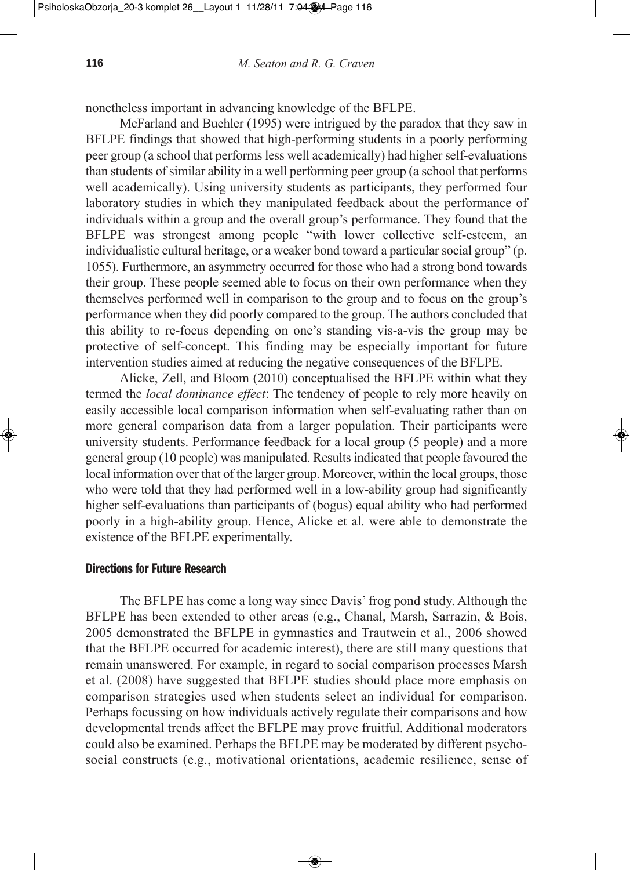nonetheless important in advancing knowledge of the BFLPE.

McFarland and Buehler (1995) were intrigued by the paradox that they saw in BFLPE findings that showed that high-performing students in a poorly performing peer group (a school that performs less well academically) had higher self-evaluations than students ofsimilar ability in a well performing peer group (a school that performs well academically). Using university students as participants, they performed four laboratory studies in which they manipulated feedback about the performance of individuals within a group and the overall group's performance. They found that the BFLPE was strongest among people "with lower collective self-esteem, an individualistic cultural heritage, or a weaker bond toward a particularsocial group" (p. 1055). Furthermore, an asymmetry occurred for those who had a strong bond towards their group. These people seemed able to focus on their own performance when they themselves performed well in comparison to the group and to focus on the group's performance when they did poorly compared to the group. The authors concluded that this ability to re-focus depending on one's standing vis-a-vis the group may be protective of self-concept. This finding may be especially important for future intervention studies aimed at reducing the negative consequences of the BFLPE.

Alicke, Zell, and Bloom (2010) conceptualised the BFLPE within what they termed the *local dominance effect*: The tendency of people to rely more heavily on easily accessible local comparison information when self-evaluating rather than on more general comparison data from a larger population. Their participants were university students. Performance feedback for a local group (5 people) and a more general group (10 people) was manipulated. Resultsindicated that people favoured the local information over that of the larger group. Moreover, within the local groups, those who were told that they had performed well in a low-ability group had significantly higher self-evaluations than participants of (bogus) equal ability who had performed poorly in a high-ability group. Hence, Alicke et al. were able to demonstrate the existence of the BFLPE experimentally.

### **Directions for Future Research**

The BFLPE has come a long way since Davis'frog pond study. Although the BFLPE has been extended to other areas (e.g., Chanal, Marsh, Sarrazin, & Bois, 2005 demonstrated the BFLPE in gymnastics and Trautwein et al., 2006 showed that the BFLPE occurred for academic interest), there are still many questions that remain unanswered. For example, in regard to social comparison processes Marsh et al. (2008) have suggested that BFLPE studies should place more emphasis on comparison strategies used when students select an individual for comparison. Perhaps focussing on how individuals actively regulate their comparisons and how developmental trends affect the BFLPE may prove fruitful. Additional moderators could also be examined. Perhaps the BFLPE may be moderated by different psychosocial constructs (e.g., motivational orientations, academic resilience, sense of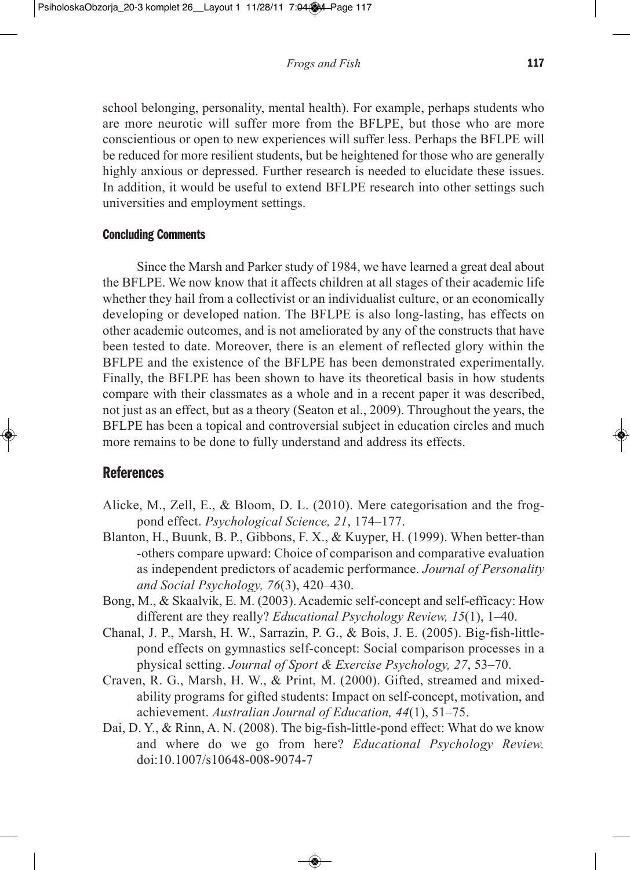school belonging, personality, mental health). For example, perhaps students who are more neurotic will suffer more from the BFLPE, but those who are more conscientious or open to new experiences will suffer less. Perhaps the BFLPE will be reduced for more resilient students, but be heightened for those who are generally highly anxious or depressed. Further research is needed to elucidate these issues. In addition, it would be useful to extend BFLPE research into other settings such universities and employment settings.

#### **Concluding Comments**

Since the Marsh and Parker study of 1984, we have learned a great deal about the BFLPE. We now know that it affects children at all stages of their academic life whether they hail from a collectivist or an individualist culture, or an economically developing or developed nation. The BFLPE is also long-lasting, has effects on other academic outcomes, and is not ameliorated by any of the constructs that have been tested to date. Moreover, there is an element of reflected glory within the BFLPE and the existence of the BFLPE has been demonstrated experimentally. Finally, the BFLPE has been shown to have its theoretical basis in how students compare with their classmates as a whole and in a recent paper it was described, not just as an effect, but as a theory (Seaton et al., 2009). Throughout the years, the BFLPE has been a topical and controversial subject in education circles and much more remains to be done to fully understand and address its effects.

# **References**

- Alicke, M., Zell, E., & Bloom, D. L. (2010). Mere categorisation and the frogpond effect. *Psychological Science, 21*, 174–177.
- Blanton, H., Buunk, B. P., Gibbons, F. X., & Kuyper, H. (1999). When better-than -others compare upward: Choice of comparison and comparative evaluation as independent predictors of academic performance. *Journal of Personality and Social Psychology, 76*(3), 420–430.
- Bong, M., & Skaalvik, E. M. (2003). Academic self-concept and self-efficacy: How different are they really? *educational Psychology Review, 15*(1), 1–40.
- Chanal, J. P., Marsh, H. W., Sarrazin, P. G., & Bois, J. E. (2005). Big-fish-littlepond effects on gymnastics self-concept: Social comparison processes in a physical setting. *Journal of Sport & exercise Psychology, 27*, 53–70.
- Craven, R. G., Marsh, H. W., & Print, M. (2000). Gifted, streamed and mixedability programs for gifted students: Impact on self-concept, motivation, and achievement. *Australian Journal of education, 44*(1), 51–75.
- Dai, D. Y., & Rinn, A. N. (2008). The big-fish-little-pond effect: What do we know and where do we go from here? *Educational Psychology Review*. doi:10.1007/s10648-008-9074-7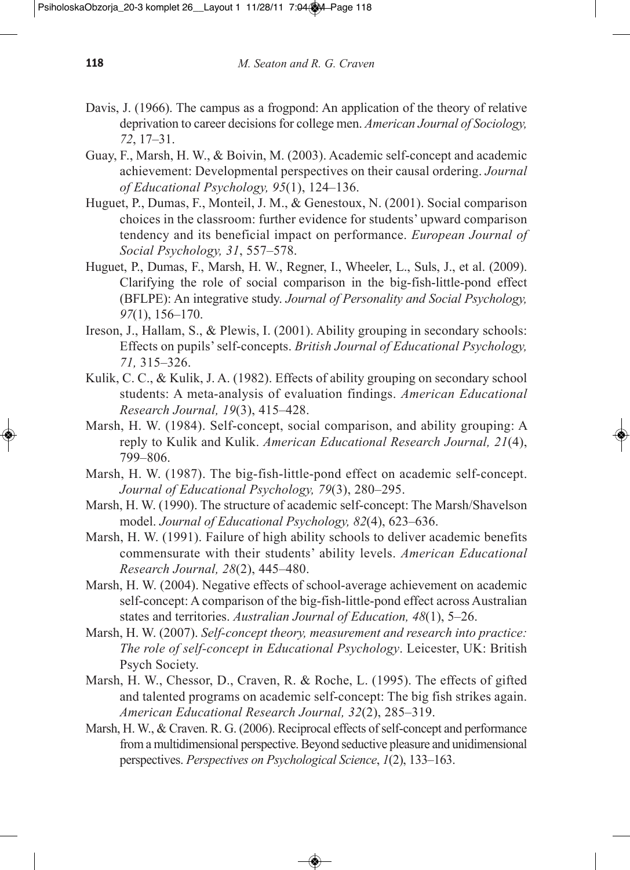- Davis, J. (1966). The campus as a frogpond: An application of the theory of relative deprivation to career decisions for college men. *American Journal of Sociology*, *72*, 17–31.
- Guay, F., Marsh, H. W., & Boivin, M. (2003). Academic self-concept and academic achievement: Developmental perspectives on their causal ordering. *Journal of educational Psychology, 95*(1), 124–136.
- Huguet, P., Dumas, F., Monteil, J. M., & Genestoux, N. (2001). Social comparison choices in the classroom: further evidence for students' upward comparison tendency and its beneficial impact on performance. *european Journal of Social Psychology, 31*, 557–578.
- Huguet, P., Dumas, F., Marsh, H. W., Regner, I., Wheeler, L., Suls, J., et al. (2009). Clarifying the role of social comparison in the big-fish-little-pond effect (BFLPE): An integrative study. *Journal of Personality and Social Psychology, 97*(1), 156–170.
- Ireson, J., Hallam, S., & Plewis, I. (2001). Ability grouping in secondary schools: Effects on pupils'self-concepts. *British Journal of educational Psychology, 71,* 315–326.
- Kulik, C. C., & Kulik, J. A. (1982). Effects of ability grouping on secondary school students: A meta-analysis of evaluation findings. *American Educational Research Journal, 19*(3), 415–428.
- Marsh, H. W. (1984). Self-concept, social comparison, and ability grouping: A reply to Kulik and Kulik. *American educational Research Journal, 21*(4), 799–806.
- Marsh, H. W. (1987). The big-fish-little-pond effect on academic self-concept. *Journal of educational Psychology, 79*(3), 280–295.
- Marsh, H. W. (1990). The structure of academic self-concept: The Marsh/Shavelson model. *Journal of educational Psychology, 82*(4), 623–636.
- Marsh, H. W. (1991). Failure of high ability schools to deliver academic benefits commensurate with their students' ability levels. *American Educational Research Journal, 28*(2), 445–480.
- Marsh, H. W. (2004). Negative effects of school-average achievement on academic self-concept: A comparison of the big-fish-little-pond effect across Australian states and territories. *Australian Journal of Education, 48*(1), 5–26.
- Marsh, H. W. (2007). *Self-concept theory, measurement and research into practice: The role of self-concept in educational Psychology*. Leicester, UK: British Psych Society.
- Marsh, H. W., Chessor, D., Craven, R. & Roche, L. (1995). The effects of gifted and talented programs on academic self-concept: The big fish strikes again. *American educational Research Journal, 32*(2), 285–319.
- Marsh, H. W., & Craven. R. G. (2006). Reciprocal effects of self-concept and performance from a multidimensional perspective. Beyond seductive pleasure and unidimensional perspectives. *Perspectives on Psychological Science*, *1*(2), 133–163.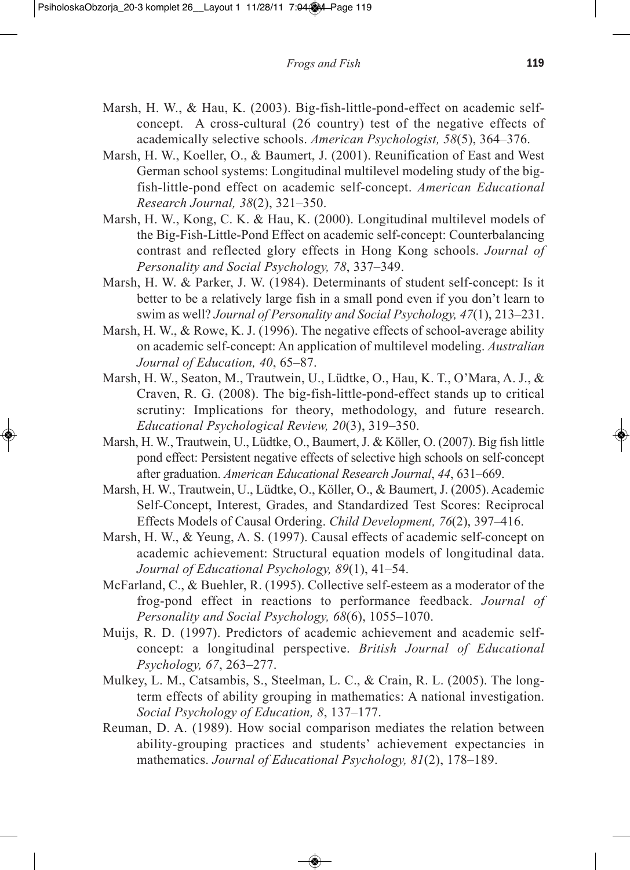- Marsh, H. W., & Hau, K. (2003). Big-fish-little-pond-effect on academic selfconcept. A cross-cultural (26 country) test of the negative effects of academically selective schools. *American Psychologist, 58*(5), 364–376.
- Marsh, H. W., Koeller, O., & Baumert, J. (2001). Reunification of East and West German school systems: Longitudinal multilevel modeling study of the bigfish-little-pond effect on academic self-concept. *American Educational Research Journal, 38*(2), 321–350.
- Marsh, H. W., Kong, C. K. & Hau, K. (2000). Longitudinal multilevel models of the Big-Fish-Little-Pond Effect on academic self-concept: Counterbalancing contrast and reflected glory effects in Hong Kong schools. *Journal of Personality and Social Psychology, 78*, 337–349.
- Marsh, H. W. & Parker, J. W. (1984). Determinants of student self-concept: Is it better to be a relatively large fish in a small pond even if you don't learn to swim as well? *Journal of Personality and Social Psychology, 47*(1), 213–231.
- Marsh, H. W., & Rowe, K. J. (1996). The negative effects of school-average ability on academic self-concept: An application of multilevel modeling. *Australian Journal of education, 40*, 65–87.
- Marsh, H. W., Seaton, M., Trautwein, U., Lüdtke, O., Hau, K. T., O'Mara, A. J., & Craven, R. G. (2008). The big-fish-little-pond-effect stands up to critical scrutiny: Implications for theory, methodology, and future research. *educational Psychological Review, 20*(3), 319–350.
- Marsh, H. W., Trautwein, U., Lüdtke, O., Baumert, J. & Köller, O. (2007). Big fish little pond effect: Persistent negative effects of selective high schools on self-concept after graduation. *American educational Research Journal*, *44*, 631–669.
- Marsh, H. W., Trautwein, U., Lüdtke, O., Köller, O., & Baumert, J. (2005). Academic Self-Concept, Interest, Grades, and Standardized Test Scores: Reciprocal Effects Models of Causal Ordering. *Child Development, 76*(2), 397–416.
- Marsh, H. W., & Yeung, A. S. (1997). Causal effects of academic self-concept on academic achievement: Structural equation models of longitudinal data. *Journal of educational Psychology, 89*(1), 41–54.
- McFarland, C., & Buehler, R. (1995). Collective self-esteem as a moderator of the frog-pond effect in reactions to performance feedback. *Journal of Personality and Social Psychology, 68*(6), 1055–1070.
- Muijs, R. D. (1997). Predictors of academic achievement and academic selfconcept: a longitudinal perspective. *British Journal of educational Psychology, 67*, 263–277.
- Mulkey, L. M., Catsambis, S., Steelman, L. C., & Crain, R. L. (2005). The longterm effects of ability grouping in mathematics: A national investigation. *Social Psychology of education, 8*, 137–177.
- Reuman, D. A. (1989). How social comparison mediates the relation between ability-grouping practices and students' achievement expectancies in mathematics. *Journal of educational Psychology, 81*(2), 178–189.